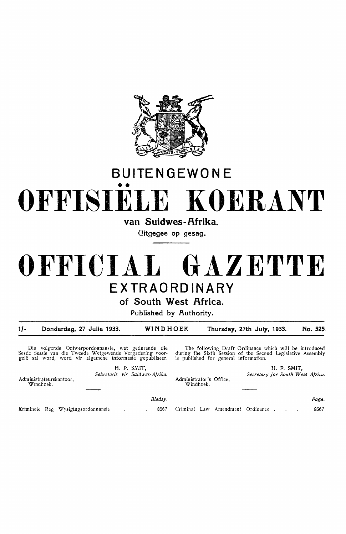

## **BUITENGEWONE**  •• **OFFISIELE KOERANT**

van Suidwes-Afrika.

**Uitgegee op gesag.** 

## **OFFICIAL GAZETTE EXTRAORDINARY**

**of South West Africa.** 

Published by Authority.

*11-* **Donderdag, 27 Julie 1933. WINDHOEK Thursday, 27th July, 1933. No. 525** 

Windhoek.

Die volgende Ontwerpordonnansie, wat gedurende die Sesde Sessie van die Tweede Wetgewende Vergadering voor-<br>gelê sal word, word vir algemene informasie gepubliseer.

The following Draft Ordinance which will be introduced during the Sixth Session of the Second Legislative Assembly is published for general information.

Administrator's Office, H. P. SMIT, *Secretary for South West Africa.* 

Administrateurskantoor, Wmdhoek. H. P. SMIT, *Sekretaris vir Suidwes-Afrika.* 

*Bladsy.* 

Kriminele Reg Wysigingsordonnansie 1. 18567 Criminal Law Amendment Ordinance .

Page. 8567